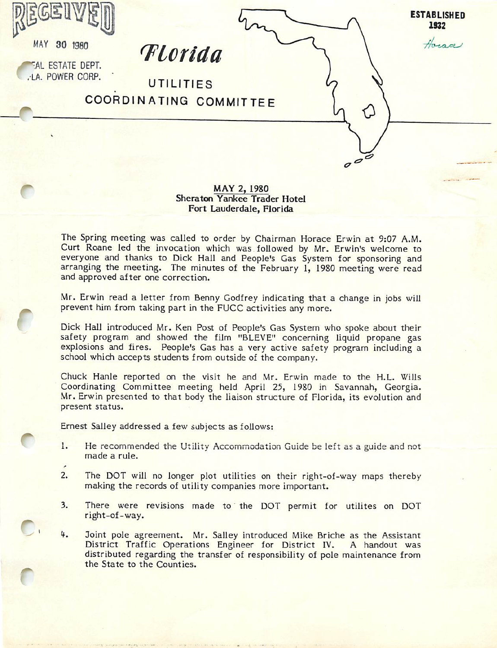



ESTATE DEPT.

O

**ESTABLISHED** 1932

 $\overline{\sigma}$ € Horace

Florida

LA. POWER CORP. UTILITIES COORDINATING COMMIT

## MAY 2. 1980 Sheraton Yankee Trader Hotel Fort Lauderdale, Florida

The Spring meeting was called to order by Chairman Horace Erwin at 9:07 A.M. Curt Roane led the invocation which was followed by Mr. Erwin's welcome to everyone and thanks to Dick Hall and People's Gas System for sponsoring and arranging the meeting. The minutes of the February 1, 1980 meeting were read and approved after one correction.

Mr. Erwin read a letter from Benny Godfrey indicating that a change in jobs will prevent him from taking part in the FUCC activities any more.

Dick Hall introduced Mr. Ken Post of People's Gas System who spoke about their safety program and showed the film "BLEVE" concerning liquid propane gas explosions and fires. People's Gas has a very active safety program including a school which accepts students from outside of the company.

Chuck Hanle reported on the visit he and Mr. Erwin made to the H.L. Wills Coordinating Committee meeting held April 25, 1980 in Savannah, Georgia. Mr. Erwin presented to that body the liaison structure of Florida, its evolution and present status.

Ernest Salley addressed a few subjects as follows:

- 1. He recommended the Utility Accommodation Guide be left as a guide and not made a rule.
- 2. The DOT will no longer plot utilities on their right-of-way maps thereby making the records of utility companies more important.
- 3. There were revisions made to the DOT permit for utilites on DOT right-of-way.
- 4. Joint pole agreement. Mr. Salley introduced Mike Briche as the Assistant District Traffic Operations Engineer for District IV. A handout was distributed regarding the transfer of responsibility of pole maintenance from the State to the Counties.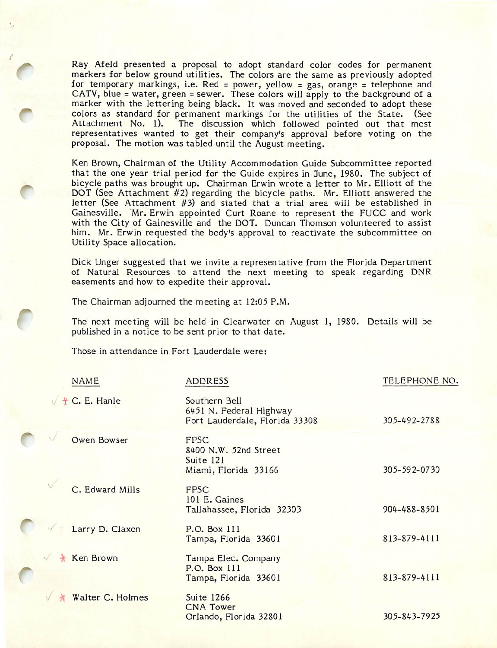Ray Afeld presented a proposal to adopt standard color codes for permanent markers for below ground utilities. The colors are the same as previously adopted for temporary markings, i.e. Red = power, yellow = gas, orange = telephone and CATV, blue = water, green = sewer. These colors will apply to the background of a marker with the lettering being black. It was moved and seconded to adopt these colors as standard for permanent markings for the utilities of the State. (See Attachment No. 1). The discussion which followed pointed out that most representatives wanted to get their company's approval before voting on the proposal. The motion was tabled until the August meeting.

Ken Brown, Chairman of the Utility Accommodation Guide Subcommittee reported that the one year trial period for the Guide expires in 3une, 1980. The subject of bicycle paths was brought up. Chairman Erwin wrote a letter to Mr. Elliott of the DOT (See Attachment #2) regarding the bicycle paths. Mr. Elliott answered the letter (See Attachment #3) and stated that a trial area will be established in Gainesville. "Mr. Erwin appointed Curt Roane to represent the FUCC and work with the City of Gainesville and the DOT. Duncan Thomson volunteered to assist him. Mr. Erwin requested the body's approval to reactivate the subcommittee on Utility Space allocation.

Dick Unger suggested that we invite a representative from the Florida Department of Natural Resources to attend the next meeting to speak regarding DNR easements and how to expedite their approval.

The Chairman adjourned the meeting at 12:05 P.M.

The next meeting will be held in Clearwater on August 1, 1980. Details will be published in a notice to be sent prior to that date.

Those in attendance in Fort Lauderdale were:

O

| <b>NAME</b>        | <b>ADDRESS</b>                                                             | TELEPHONE NO. |
|--------------------|----------------------------------------------------------------------------|---------------|
| + C. E. Hanle      | Southern Bell<br>6451 N. Federal Highway<br>Fort Lauderdale, Florida 33308 | 305-492-2788  |
| <b>Owen Bowser</b> | FPSC<br>8400 N.W. 52nd Street<br>Suite 121<br>Miami, Florida 33166         | 305-592-0730  |
| C. Edward Mills    | <b>FPSC</b><br>101 E. Gaines<br>Tallahassee, Florida 32303                 | 904-488-8501  |
| Larry D. Claxon    | P.O. Box 111<br>Tampa, Florida 33601                                       | 813-879-4111  |
| <b>Ken Brown</b>   | Tampa Elec. Company<br>P.O. Box 111<br>Tampa, Florida 33601                | 813-879-4111  |
| Walter C. Holmes   | <b>Suite 1266</b><br><b>CNA Tower</b><br>Orlando, Florida 32801            | 305-843-7925  |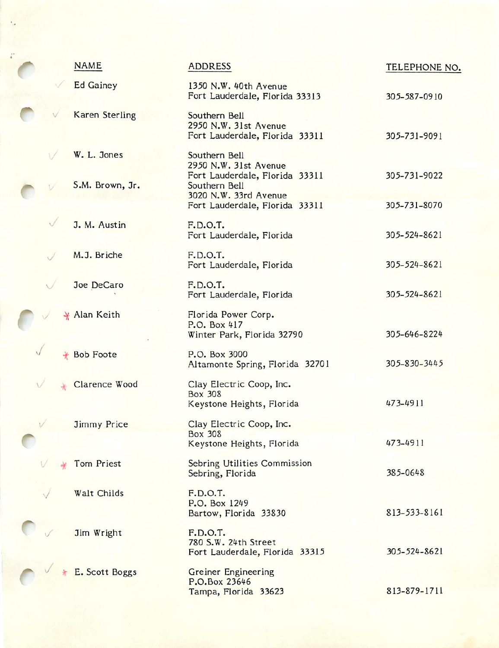| <b>NAME</b>           | ADDRESS                                                                  | TELEPHONE NO. |
|-----------------------|--------------------------------------------------------------------------|---------------|
| <b>Ed Gainey</b>      | 1350 N.W. 40th Avenue<br>Fort Lauderdale, Florida 33313                  | 305-587-0910  |
| <b>Karen Sterling</b> | Southern Bell<br>2950 N.W. 31st Avenue<br>Fort Lauderdale, Florida 33311 | 305-731-9091  |
| W. L. Jones           | Southern Bell<br>2950 N.W. 31st Avenue                                   | 305-731-9022  |
| S.M. Brown, Jr.       | Fort Lauderdale, Florida 33311<br>Southern Bell<br>3020 N.W. 33rd Avenue |               |
|                       | Fort Lauderdale, Florida 33311                                           | 305-731-8070  |
| J. M. Austin          | F.D.O.T.<br>Fort Lauderdale, Florida                                     | 305-524-8621  |
| M.J. Briche           | F.D.O.T.<br>Fort Lauderdale, Florida                                     | 305-524-8621  |
| Joe DeCaro            | F.D.O.T.<br>Fort Lauderdale, Florida                                     | 305-524-8621  |
| * Alan Keith          | Florida Power Corp.<br>P.O. Box 417<br>Winter Park, Florida 32790        | 305-646-8224  |
| + Bob Foote           | P.O. Box 3000<br>Altamonte Spring, Florida 32701                         | 305-830-3445  |
| Clarence Wood         | Clay Electric Coop, Inc.<br><b>Box 308</b><br>Keystone Heights, Florida  | 473-4911      |
| <b>Jimmy Price</b>    | Clay Electric Coop, Inc.<br><b>Box 308</b>                               |               |
|                       | Keystone Heights, Florida                                                | 473-4911      |
| Tom Priest            | Sebring Utilities Commission<br>Sebring, Florida                         | 385-0648      |
| Walt Childs           | F.D.O.T.<br>P.O. Box 1249<br>Bartow, Florida 33830                       | 813-533-8161  |
| Jim Wright            | F.D.O.T.<br>780 S.W. 24th Street<br>Fort Lauderdale, Florida 33315       | 305-524-8621  |
| E. Scott Boggs        | Greiner Engineering<br>P.O.Box 23646<br>Tampa, Florida 33623             | 813-879-1711  |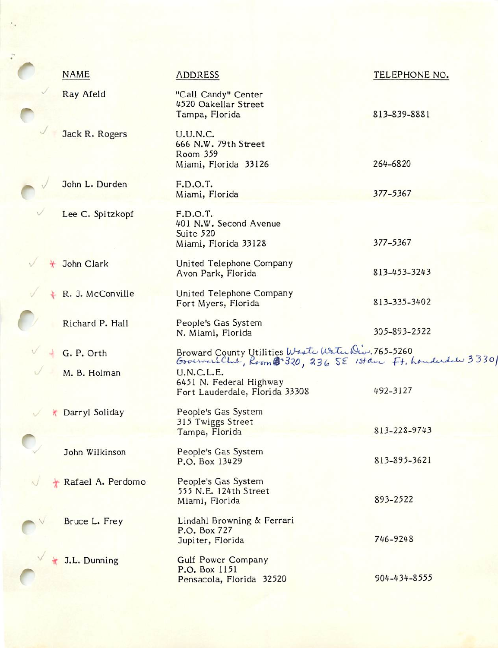|         | <b>NAME</b>       | <b>ADDRESS</b>                                                                                                     | TELEPHONE NO. |
|---------|-------------------|--------------------------------------------------------------------------------------------------------------------|---------------|
|         | Ray Afeld         | "Call Candy" Center<br>4520 Oakellar Street<br>Tampa, Florida                                                      | 813-839-8881  |
|         | Jack R. Rogers    | <b>U.U.N.C.</b><br>666 N.W. 79th Street<br>Room 359<br>Miami, Florida 33126                                        | 264-6820      |
|         | John L. Durden    | F.D.O.T.<br>Miami, Florida                                                                                         | 377-5367      |
|         | Lee C. Spitzkopf  | F.D.O.T.<br>401 N.W. Second Avenue<br>Suite 520<br>Miami, Florida 33128                                            | 377-5367      |
|         | John Clark        | United Telephone Company<br>Avon Park, Florida                                                                     | 813-453-3243  |
| $\star$ | R. J. McConville  | United Telephone Company<br>Fort Myers, Florida                                                                    | 813-335-3402  |
|         | Richard P. Hall   | People's Gas System<br>N. Miami, Florida                                                                           | 305-893-2522  |
|         | G. P. Orth        | Broward County Utilities Weste Water Div. 765-5260<br>Governars Club, Room @ 320, 236 SE 1stave Ft. houderdal 3330 |               |
|         | M. B. Holman      | U.N.C.L.E.<br>6451 N. Federal Highway<br>Fort Lauderdale, Florida 33308                                            | 492-3127      |
| ₩       | Darryl Soliday    | People's Gas System<br>315 Twiggs Street<br>Tampa, Florida                                                         | 813-228-9743  |
|         | John Wilkinson    | People's Gas System<br>P.O. Box 13429                                                                              | 813-895-3621  |
|         | Rafael A. Perdomo | People's Gas System<br>555 N.E. 124th Street<br>Miami, Florida                                                     | 893-2522      |
|         | Bruce L. Frey     | Lindahl Browning & Ferrari<br>P.O. Box 727<br>Jupiter, Florida                                                     | 746-9248      |
|         | J.L. Dunning      | <b>Gulf Power Company</b><br>P.O. Box 1151<br>Pensacola, Florida 32520                                             | 904-434-8555  |
|         |                   |                                                                                                                    |               |

 $\overline{C}$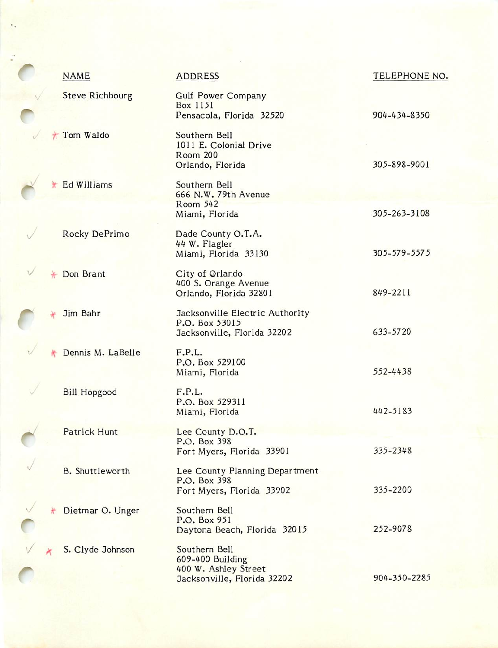| <b>NAME</b>            | <b>ADDRESS</b>                                                                           | TELEPHONE NO. |
|------------------------|------------------------------------------------------------------------------------------|---------------|
| <b>Steve Richbourg</b> | <b>Gulf Power Company</b><br>Box 1151<br>Pensacola, Florida 32520                        | 904-434-8350  |
| Tom Waldo              | Southern Bell<br>1011 E. Colonial Drive<br><b>Room 200</b><br>Orlando, Florida           | 305-898-9001  |
| Ed Williams            | Southern Bell<br>666 N.W. 79th Avenue<br>Room 542                                        |               |
|                        | Miami, Florida                                                                           | 305-263-3108  |
| Rocky DePrimo          | Dade County O.T.A.<br>44 W. Flagler<br>Miami, Florida 33130                              | 305-579-5575  |
| Don Brant              | City of Orlando<br>400 S. Orange Avenue<br>Orlando, Florida 32801                        | 849-2211      |
| Jim Bahr               | Jacksonville Electric Authority<br>P.O. Box 53015<br>Jacksonville, Florida 32202         | 633-5720      |
| Dennis M. LaBelle      | F.P.L.<br>P.O. Box 529100<br>Miami, Florida                                              | 552-4438      |
| <b>Bill Hopgood</b>    | F.P.L.<br>P.O. Box 529311<br>Miami, Florida                                              | 442-5183      |
| Patrick Hunt           | Lee County D.O.T.<br>P.O. Box 398<br>Fort Myers, Florida 33901                           | 335-2348      |
| <b>B.</b> Shuttleworth | Lee County Planning Department<br>P.O. Box 398<br>Fort Myers, Florida 33902              | 335-2200      |
| Dietmar O. Unger       | Southern Bell<br>P.O. Box 951                                                            | 252-9078      |
|                        | Daytona Beach, Florida 32015                                                             |               |
| S. Clyde Johnson       | Southern Bell<br>609-400 Building<br>400 W. Ashley Street<br>Jacksonville, Florida 32202 | 904-350-2285  |

f

 $\ddot{\bullet}$